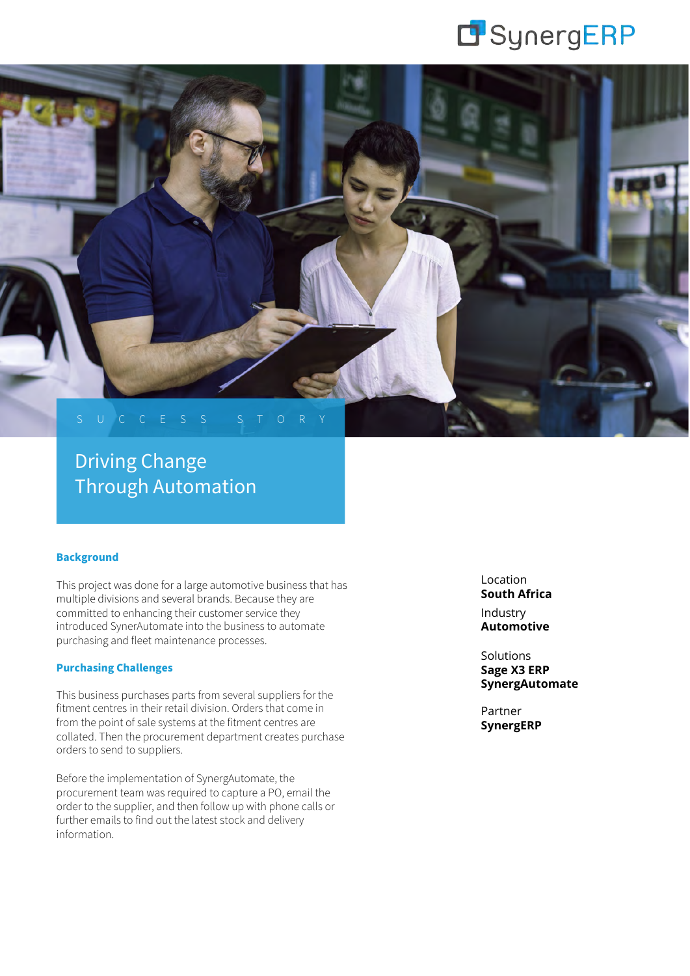



# Driving Change Through Automation

# **Background**

This project was done for a large automotive business that has multiple divisions and several brands. Because they are committed to enhancing their customer service they introduced SynerAutomate into the business to automate purchasing and fleet maintenance processes.

## **Purchasing Challenges**

This business purchases parts from several suppliers for the fitment centres in their retail division. Orders that come in from the point of sale systems at the fitment centres are collated. Then the procurement department creates purchase orders to send to suppliers.

Before the implementation of SynergAutomate, the procurement team was required to capture a PO, email the order to the supplier, and then follow up with phone calls or further emails to find out the latest stock and delivery information.

Location **South Africa** Industry **Automotive**

Solutions **Sage X3 ERP SynergAutomate**

Partner **SynergERP**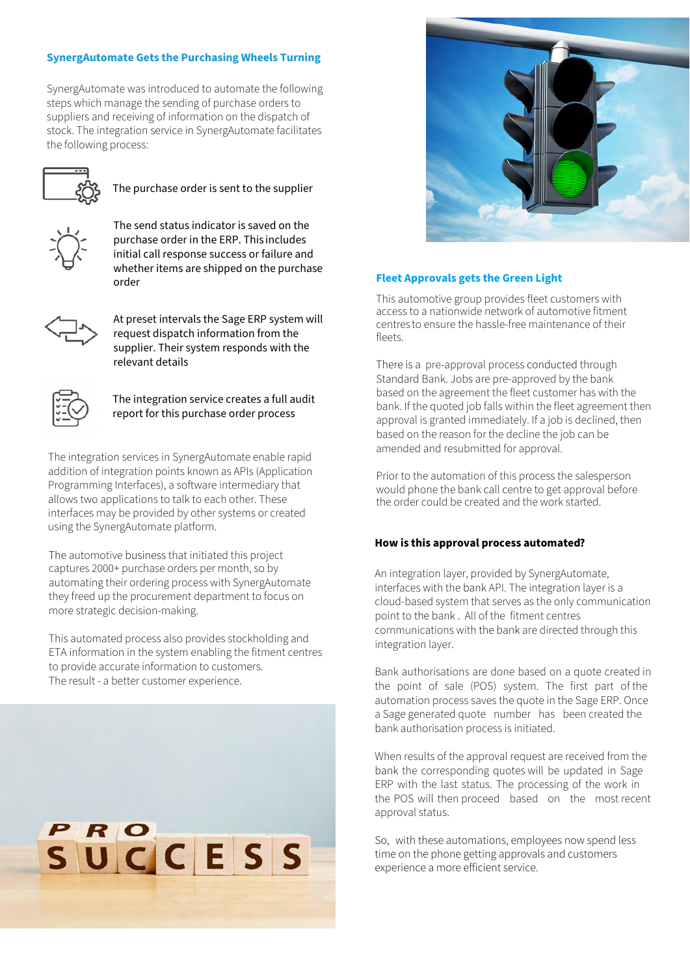# **SynergAutomate Gets the Purchasing Wheels Turning**

SynergAutomate was introduced to automate the following steps which manage the sending of purchase orders to suppliers and receiving of information on the dispatch of stock. The integration service in SynergAutomate facilitates the following process:



The purchase order is sent to the supplier



The send status indicator is saved on the purchase order in the ERP. This includes initial call response success or failure and whether items are shipped on the purchase order



At preset intervals the Sage ERP system will request dispatch information from the supplier. Their system responds with the relevant details



The integration service creates a full audit report for this purchase order process

The integration services in SynergAutomate enable rapid addition of integration points known as APIs (Application Programming Interfaces), a software intermediary that allows two applications to talk to each other. These interfaces may be provided by other systems or created using the SynergAutomate platform.

The automotive business that initiated this project captures 2000+ purchase orders per month, so by automating their ordering process with SynergAutomate they freed up the procurement department to focus on more strategic decision-making.

This automated process also provides stockholding and ETA information in the system enabling the fitment centres to provide accurate information to customers. The result - a better customer experience.





#### **Fleet Approvals gets the Green Light**

This automotive group provides fleet customers with access to a nationwide network of automotive fitment centres to ensure the hassle-free maintenance of their fleets.

There is a pre-approval process conducted through Standard Bank. Jobs are pre-approved by the bank based on the agreement the fleet customer has with the bank. If the quoted job falls within the fleet agreement then approval is granted immediately. If a job is declined, then based on the reason for the decline the job can be amended and resubmitted for approval.

Prior to the automation of this process the salesperson would phone the bank call centre to get approval before the order could be created and the work started.

#### **How is this approval process automated?**

An integration layer, provided by SynergAutomate, interfaces with the bank API. The integration layer is a cloud-based system that serves as the only communication point to the bank . All of the fitment centres communications with the bank are directed through this integration layer.

Bank authorisations are done based on a quote created in the point of sale (POS) system. The first part of the automation process saves the quote in the Sage ERP. Once a Sage generated quote number has been created the bank authorisation process is initiated.

When results of the approval request are received from the bank the corresponding quotes will be updated in Sage ERP with the last status. The processing of the work in the POS will then proceed based on the most recent approval status.

So, with these automations, employees now spend less time on the phone getting approvals and customers experience a more efficient service.